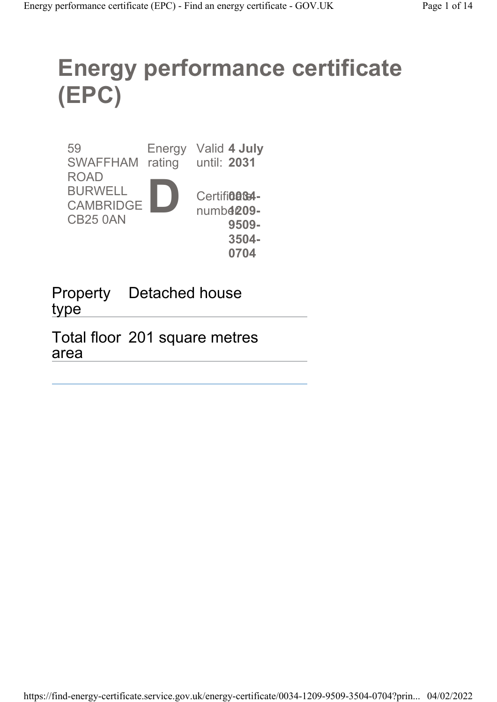# Energy performance certificate (EPC)

59 SWAFFHAM rating until: 2031 ROAD BURWELL **CAMBRIDGE** CB25 0AN Energy Valid 4 July D Certifi**0864**numb**4209-**9509- 3504-

0704

Property Detached house type

Total floor 201 square metres area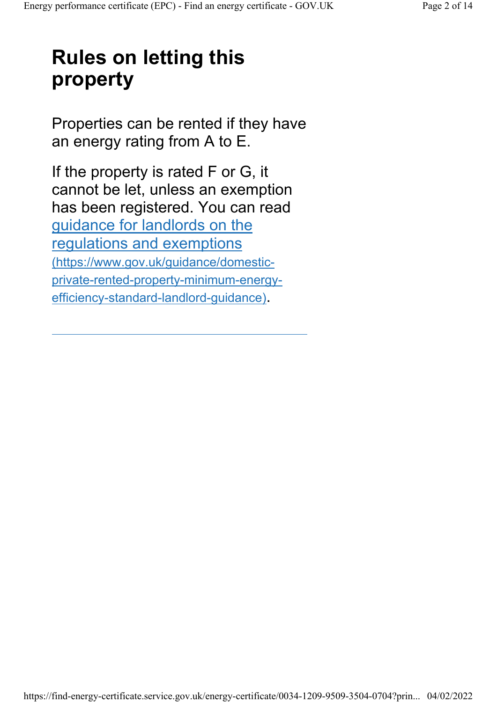## Rules on letting this property

Properties can be rented if they have an energy rating from A to E.

If the property is rated F or G, it cannot be let, unless an exemption has been registered. You can read guidance for landlords on the regulations and exemptions (https://www.gov.uk/guidance/domesticprivate-rented-property-minimum-energyefficiency-standard-landlord-guidance).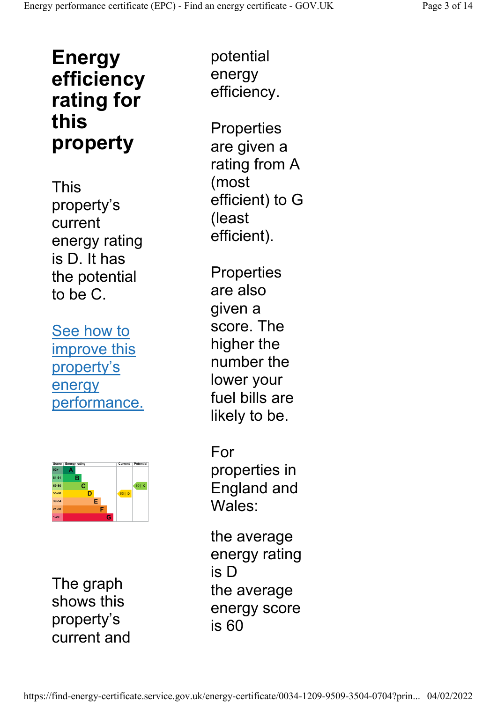### Energy efficiency rating for this property

This property's current energy rating is D. It has the potential to be C.

See how to improve this property's energy performance.



The graph shows this property's current and

potential energy efficiency.

**Properties** are given a rating from A (most efficient) to G (least efficient).

**Properties** are also given a score. The higher the number the lower your fuel bills are likely to be.

For properties in England and Wales:

the average energy rating is D the average energy score is 60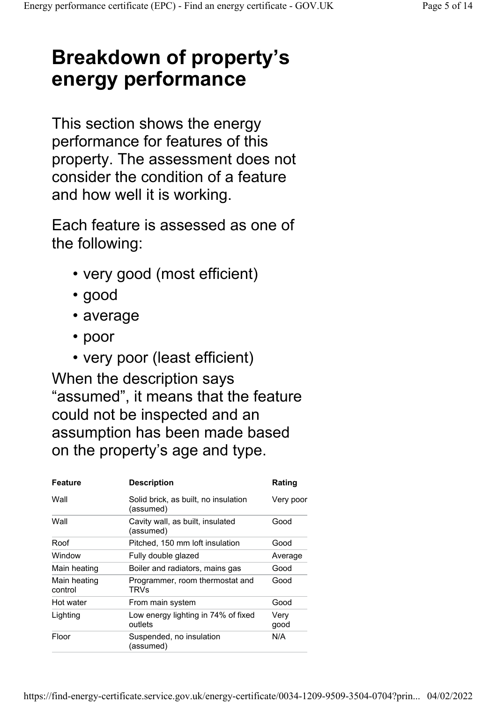## Breakdown of property's energy performance

This section shows the energy performance for features of this property. The assessment does not consider the condition of a feature and how well it is working.

Each feature is assessed as one of the following:

- very good (most efficient)
- good
- average
- poor
- very poor (least efficient)

When the description says "assumed", it means that the feature could not be inspected and an assumption has been made based on the property's age and type.

| Feature                 | <b>Description</b>                                | Rating       |
|-------------------------|---------------------------------------------------|--------------|
| Wall                    | Solid brick, as built, no insulation<br>(assumed) | Very poor    |
| Wall                    | Cavity wall, as built, insulated<br>(assumed)     | Good         |
| Roof                    | Pitched, 150 mm loft insulation                   | Good         |
| Window                  | Fully double glazed                               | Average      |
| Main heating            | Boiler and radiators, mains gas                   | Good         |
| Main heating<br>control | Programmer, room thermostat and<br>TRVs           | Good         |
| Hot water               | From main system                                  | Good         |
| Lighting                | Low energy lighting in 74% of fixed<br>outlets    | Very<br>good |
| Floor                   | Suspended, no insulation<br>(assumed)             | N/A          |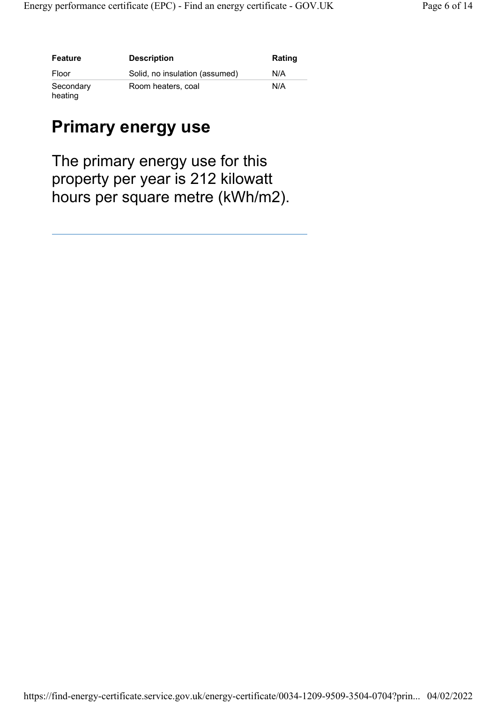| <b>Feature</b>       | <b>Description</b>             | <b>Rating</b> |
|----------------------|--------------------------------|---------------|
| Floor                | Solid, no insulation (assumed) | N/A           |
| Secondary<br>heating | Room heaters, coal             | N/A           |

#### Primary energy use

The primary energy use for this property per year is 212 kilowatt hours per square metre (kWh/m2).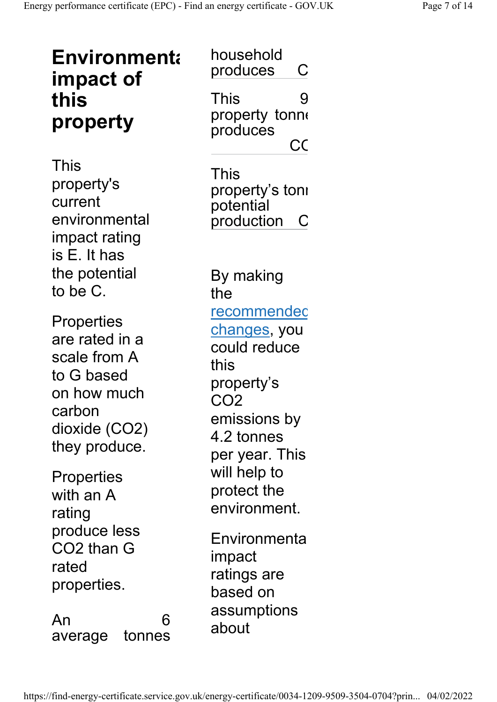| <b>Environmenta</b><br>impact of<br>this                                                                                     | household<br>produces<br>С<br>This<br>9                                                                                                            |
|------------------------------------------------------------------------------------------------------------------------------|----------------------------------------------------------------------------------------------------------------------------------------------------|
| property                                                                                                                     | property tonne<br>produces<br>CC                                                                                                                   |
| <b>This</b><br>property's<br>current<br>environmental<br>impact rating<br>is E. It has                                       | This<br>property's toni<br>potential<br>production<br>C                                                                                            |
| the potential<br>to be C.                                                                                                    | By making<br>the                                                                                                                                   |
| <b>Properties</b><br>are rated in a<br>scale from A<br>to G based<br>on how much<br>carbon<br>dioxide (CO2)<br>they produce. | <u>recommendec</u><br><u>changes,</u> you<br>could reduce<br>this<br>property's<br>CO <sub>2</sub><br>emissions by<br>4.2 tonnes<br>per year. This |
| Properties<br>with an A<br>rating                                                                                            | will help to<br>protect the<br>environment.                                                                                                        |
| produce less<br>CO2 than G<br>rated<br>properties.                                                                           | Environmenta<br>impact<br>ratings are<br>based on                                                                                                  |
| 6<br>An<br>tonnes<br>average                                                                                                 | assumptions<br>about                                                                                                                               |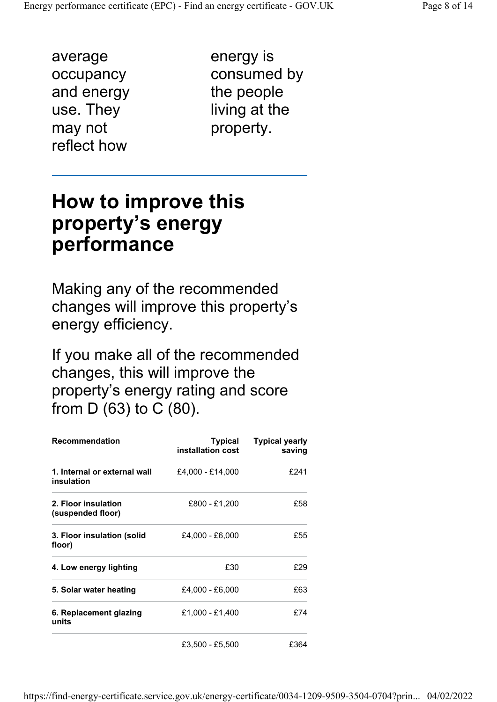average occupancy and energy use. They may not reflect how

energy is consumed by the people living at the property.

### How to improve this property's energy performance

Making any of the recommended changes will improve this property's energy efficiency.

If you make all of the recommended changes, this will improve the property's energy rating and score from D (63) to C (80).

| <b>Recommendation</b>                      | Typical<br>installation cost | <b>Typical yearly</b><br>saving |
|--------------------------------------------|------------------------------|---------------------------------|
| 1. Internal or external wall<br>insulation | £4,000 - £14,000             | £241                            |
| 2. Floor insulation<br>(suspended floor)   | £800 - £1,200                | £58                             |
| 3. Floor insulation (solid<br>floor)       | £4,000 - £6,000              | £55                             |
| 4. Low energy lighting                     | £30                          | £29                             |
| 5. Solar water heating                     | £4,000 - £6,000              | £63                             |
| 6. Replacement glazing<br>units            | £1,000 - £1,400              | £74                             |
|                                            | £3,500 - £5,500              | £364                            |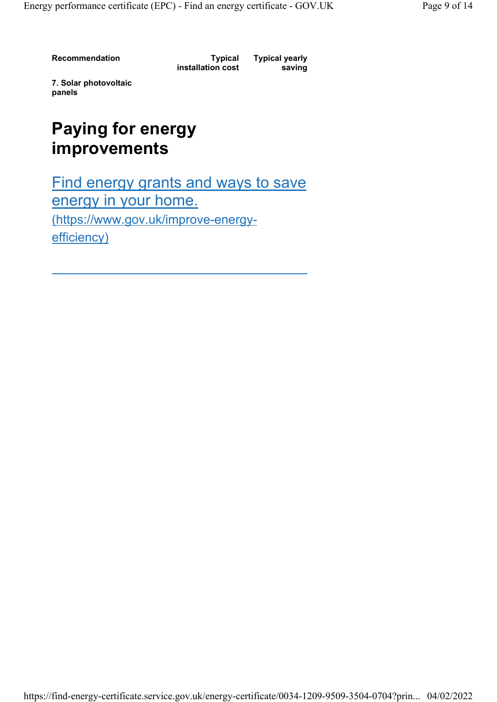Recommendation Typical

installation cost

Typical yearly saving

7. Solar photovoltaic panels

#### Paying for energy improvements

Find energy grants and ways to save energy in your home. (https://www.gov.uk/improve-energyefficiency)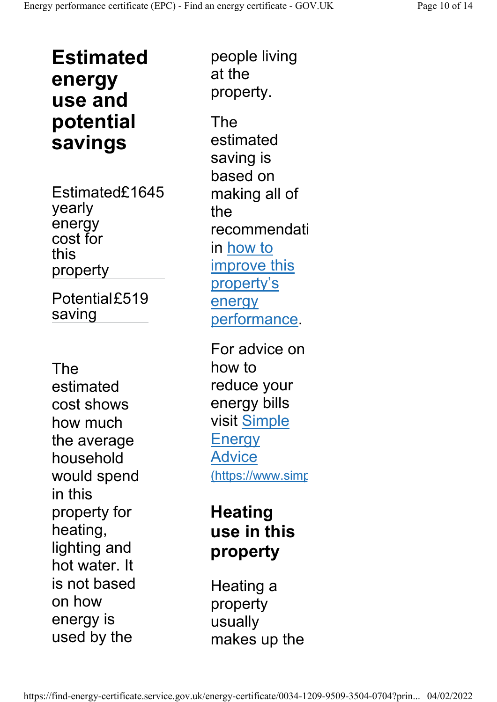Estimated energy use and potential savings

Estimated£1645 yearly energy cost for this property

Potential£519 saving

The estimated cost shows how much the average household would spend in this property for heating, lighting and hot water. It is not based on how energy is used by the

people living at the property.

The estimated saving is based on making all of the recommendati in how to improve this property's energy performance.

For advice on how to reduce your energy bills visit Simple **Energy** Advice (https://www.simp

#### **Heating** use in this property

Heating a property usually makes up the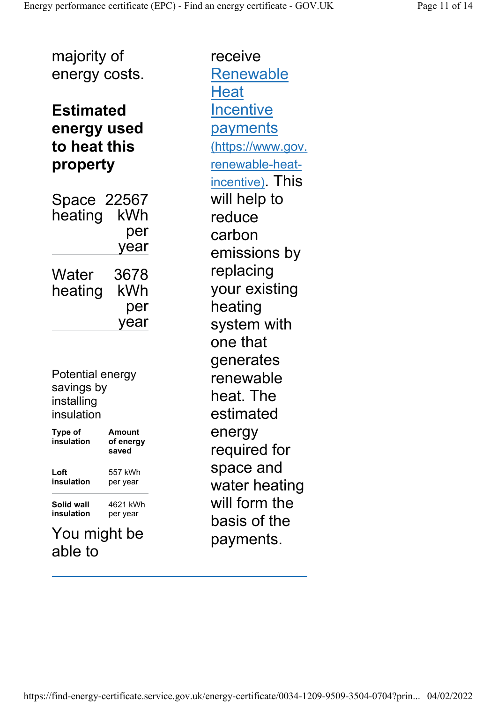majority of energy costs.

#### Estimated energy used to heat this property

Space 22567 heating kWh per year **Water** heating 3678 kWh per year

Potential energy savings by installing insulation

| Type of<br>insulation | Amount<br>of energy<br>saved |
|-----------------------|------------------------------|
| Loft                  | 557 kWh                      |
| insulation            | per year                     |
| Solid wall            | 4621 kWh                     |
| insulation            | per year                     |
|                       | $\blacksquare$               |

#### You might be able to

receive Renewable **Heat Incentive** payments (https://www.gov. renewable-heatincentive). This will help to reduce carbon emissions by replacing your existing heating system with one that generates renewable heat. The estimated energy required for space and water heating will form the basis of the payments.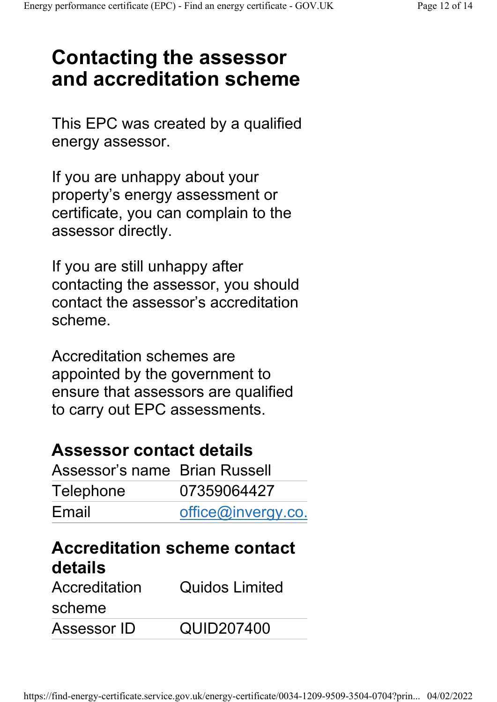## Contacting the assessor and accreditation scheme

This EPC was created by a qualified energy assessor.

If you are unhappy about your property's energy assessment or certificate, you can complain to the assessor directly.

If you are still unhappy after contacting the assessor, you should contact the assessor's accreditation scheme.

Accreditation schemes are appointed by the government to ensure that assessors are qualified to carry out EPC assessments.

#### Assessor contact details

| Assessor's name Brian Russell |                    |
|-------------------------------|--------------------|
| Telephone                     | 07359064427        |
| Email                         | office@invergy.co. |

### Accreditation scheme contact details

| Accreditation | <b>Quidos Limited</b> |
|---------------|-----------------------|
| scheme        |                       |
| Assessor ID   | QUID207400            |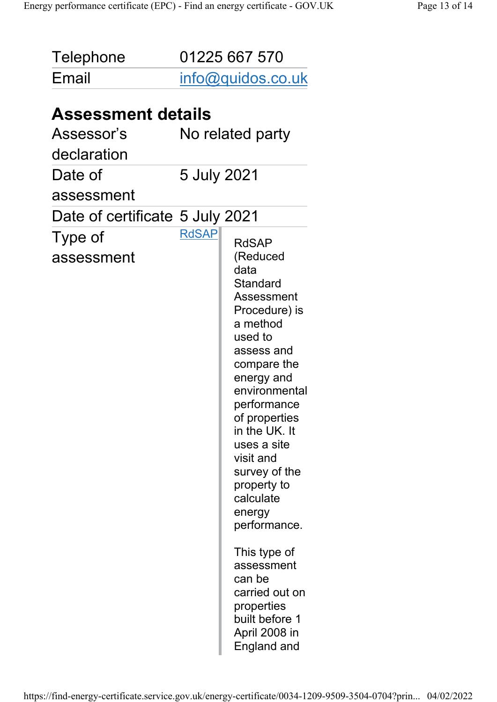| Telephone                                              | 01225 667 570     |                                                                                                                                                                                                                                                                                                                                                            |
|--------------------------------------------------------|-------------------|------------------------------------------------------------------------------------------------------------------------------------------------------------------------------------------------------------------------------------------------------------------------------------------------------------------------------------------------------------|
| Email                                                  | info@quidos.co.uk |                                                                                                                                                                                                                                                                                                                                                            |
| <b>Assessment details</b><br>Assessor's<br>declaration |                   | No related party                                                                                                                                                                                                                                                                                                                                           |
| Date of<br>assessment                                  | 5 July 2021       |                                                                                                                                                                                                                                                                                                                                                            |
| Date of certificate 5 July 2021                        |                   |                                                                                                                                                                                                                                                                                                                                                            |
| Type of<br>assessment                                  | <b>RdSAP</b>      | <b>RdSAP</b><br>(Reduced<br>data<br>Standard<br>Assessment<br>Procedure) is<br>a method<br>used to<br>assess and<br>compare the<br>energy and<br>environmental<br>performance<br>of properties<br>in the UK. It<br>uses a site<br>visit and<br>survey of the<br>property to<br>calculate<br>energy<br>performance.<br>This type of<br>assessment<br>can be |
|                                                        |                   | carried out on<br>properties<br>built before 1<br>April 2008 in<br>England and                                                                                                                                                                                                                                                                             |